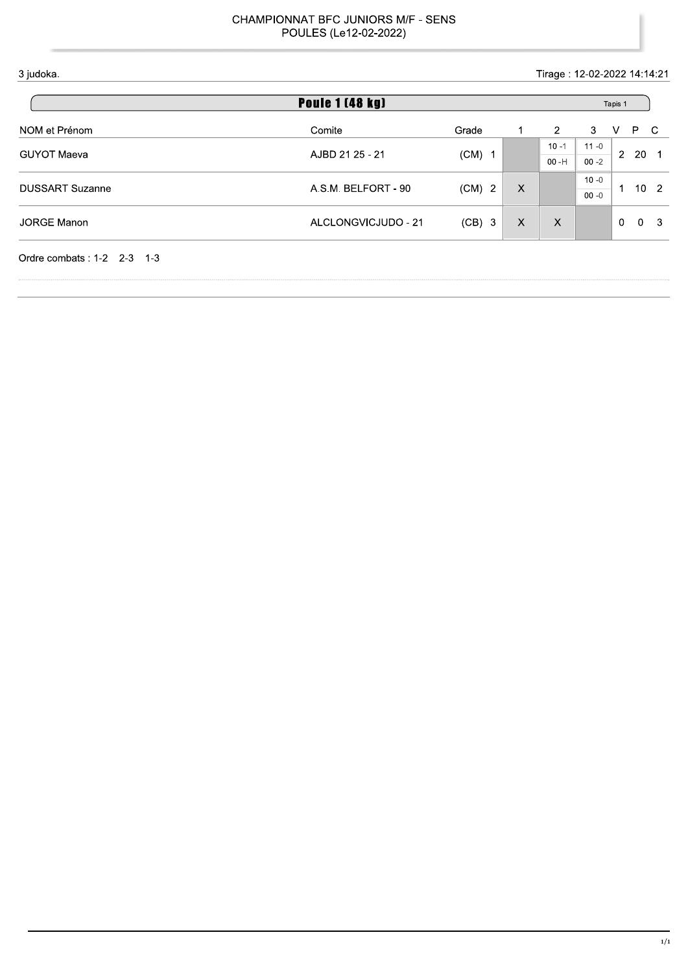Tirage: 12-02-2022 14:14:21

| <b>Poule 1 (48 kg)</b>             |                     |          |               |          |          |                | Tapis 1 |              |
|------------------------------------|---------------------|----------|---------------|----------|----------|----------------|---------|--------------|
| NOM et Prénom                      | Comite              | Grade    |               | 2        | 3        | v              | P.      | <sub>C</sub> |
|                                    |                     |          |               | $10 - 1$ | $11 - 0$ | 2              |         | - 1          |
| <b>GUYOT Maeva</b>                 | AJBD 21 25 - 21     | $(CM)$ 1 |               | $00 - H$ | $00 - 2$ |                | -20     |              |
| <b>DUSSART Suzanne</b>             | A.S.M. BELFORT - 90 | $(CM)$ 2 | X             |          | $10 - 0$ | 1              |         | $10\quad2$   |
|                                    |                     |          |               |          | $00 - 0$ |                |         |              |
| <b>JORGE Manon</b>                 | ALCLONGVICJUDO - 21 |          | $(CB)$ 3<br>X | X        |          | $\overline{0}$ | 0       | - 3          |
|                                    |                     |          |               |          |          |                |         |              |
| Ordre combats: $1-2$ 2-3<br>$-1-3$ |                     |          |               |          |          |                |         |              |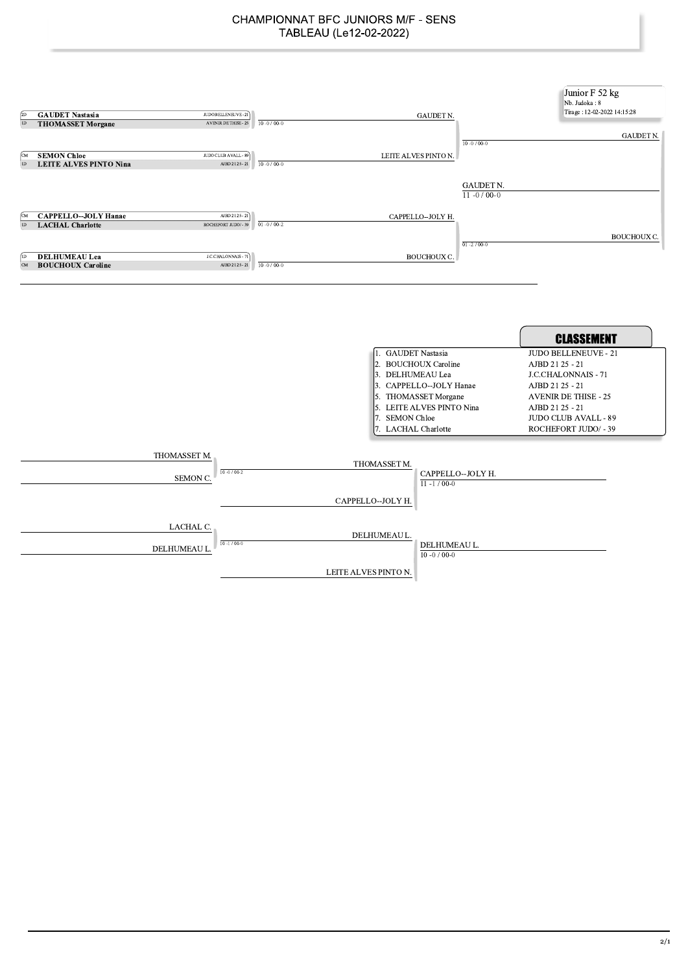| <b>GAUDET Nastasia</b><br>$_{2D}$            | JUDO BELLENEUVE - 21                             | <b>GAUDET N.</b>                                                                                                                                                                        | Junior F 52 kg<br>Nb. Judoka: 8<br>Tirage: 12-02-2022 14:15:28                                                                                                                                           |
|----------------------------------------------|--------------------------------------------------|-----------------------------------------------------------------------------------------------------------------------------------------------------------------------------------------|----------------------------------------------------------------------------------------------------------------------------------------------------------------------------------------------------------|
| ID<br><b>THOMASSET Morgane</b>               | $10 - 0 / 00 - 0$<br><b>AVENIR DE THISE - 25</b> |                                                                                                                                                                                         |                                                                                                                                                                                                          |
| <b>SEMON Chloe</b><br>ſСM                    | JUDO CLUB AVALL - 89                             | $10 - 0 / 00 - 0$<br>LEITE ALVES PINTO N.                                                                                                                                               | <b>GAUDET N.</b>                                                                                                                                                                                         |
| <b>LEITE ALVES PINTO Nina</b><br> 1D         | $10 - 0 / 00 - 0$<br>AJBD 21 25 - 21             |                                                                                                                                                                                         |                                                                                                                                                                                                          |
|                                              |                                                  | <b>GAUDET N.</b><br>$11 - 0/00 - 0$                                                                                                                                                     |                                                                                                                                                                                                          |
| <b>CAPPELLO--JOLY Hanae</b>                  | AJBD 21 25 - 21                                  | CAPPELLO--JOLY H.                                                                                                                                                                       |                                                                                                                                                                                                          |
| $ $ <sub>1D</sub><br><b>LACHAL Charlotte</b> | $01 - 0 / 00 - 2$<br>ROCHEFORT JUDO/ - 39        |                                                                                                                                                                                         |                                                                                                                                                                                                          |
|                                              |                                                  |                                                                                                                                                                                         | <b>BOUCHOUX C.</b>                                                                                                                                                                                       |
|                                              |                                                  | $01 - 2 / 00 - 0$                                                                                                                                                                       |                                                                                                                                                                                                          |
| <b>DELHUMEAU Lea</b>                         | J.C.CHALONNAIS - 71                              | BOUCHOUX C.                                                                                                                                                                             |                                                                                                                                                                                                          |
| <b>BOUCHOUX Caroline</b><br><b>CM</b>        | $10 - 0 / 00 - 0$<br>AJBD 21 25 - 21             |                                                                                                                                                                                         |                                                                                                                                                                                                          |
|                                              |                                                  |                                                                                                                                                                                         |                                                                                                                                                                                                          |
|                                              |                                                  |                                                                                                                                                                                         | <b>CLASSEMENT</b>                                                                                                                                                                                        |
|                                              |                                                  | 1. GAUDET Nastasia<br>2. BOUCHOUX Caroline<br>3. DELHUMEAU Lea<br>3. CAPPELLO--JOLY Hanae<br>5. THOMASSET Morgane<br>5. LEITE ALVES PINTO Nina<br>7. SEMON Chloe<br>7. LACHAL Charlotte | <b>JUDO BELLENEUVE - 21</b><br>AJBD 21 25 - 21<br><b>J.C.CHALONNAIS - 71</b><br>AJBD 21 25 - 21<br><b>AVENIR DE THISE - 25</b><br>AJBD 21 25 - 21<br><b>JUDO CLUB AVALL - 89</b><br>ROCHEFORT JUDO/ - 39 |
| THOMASSET M.                                 |                                                  | THOMASSET M.                                                                                                                                                                            |                                                                                                                                                                                                          |

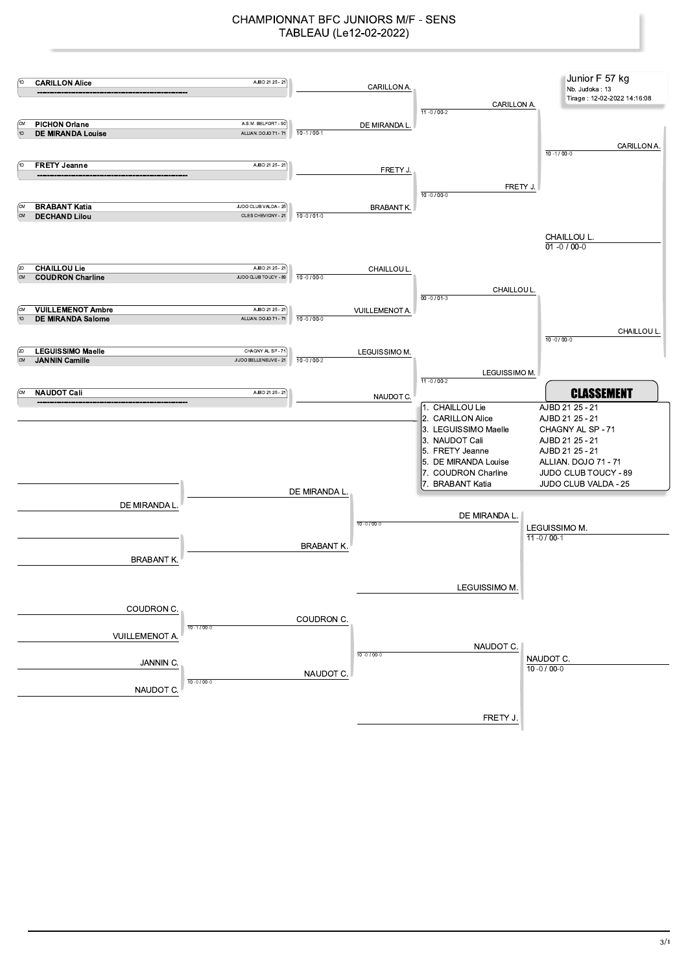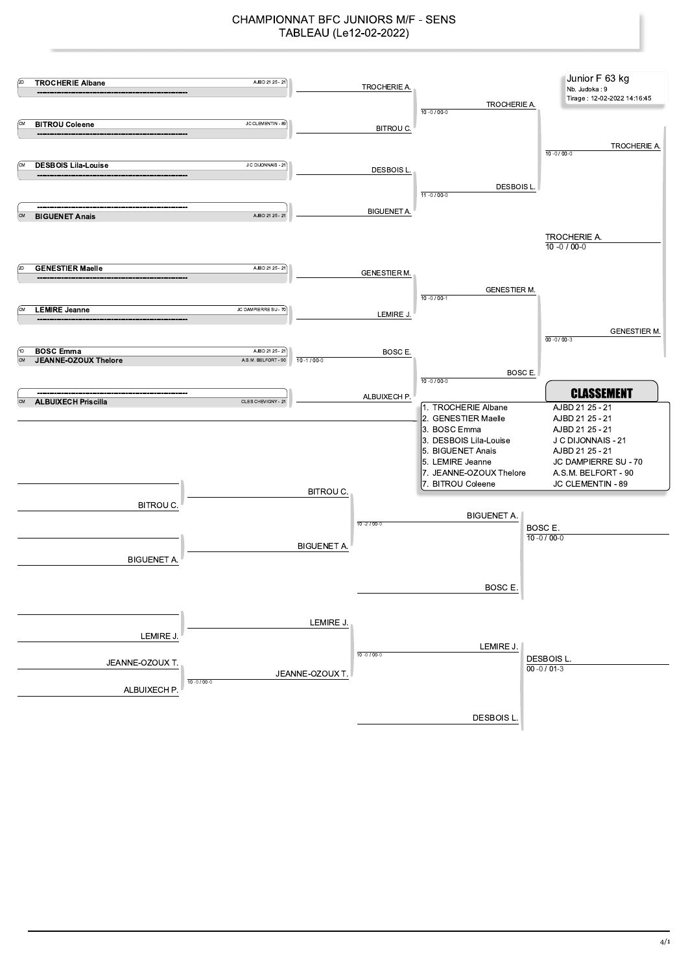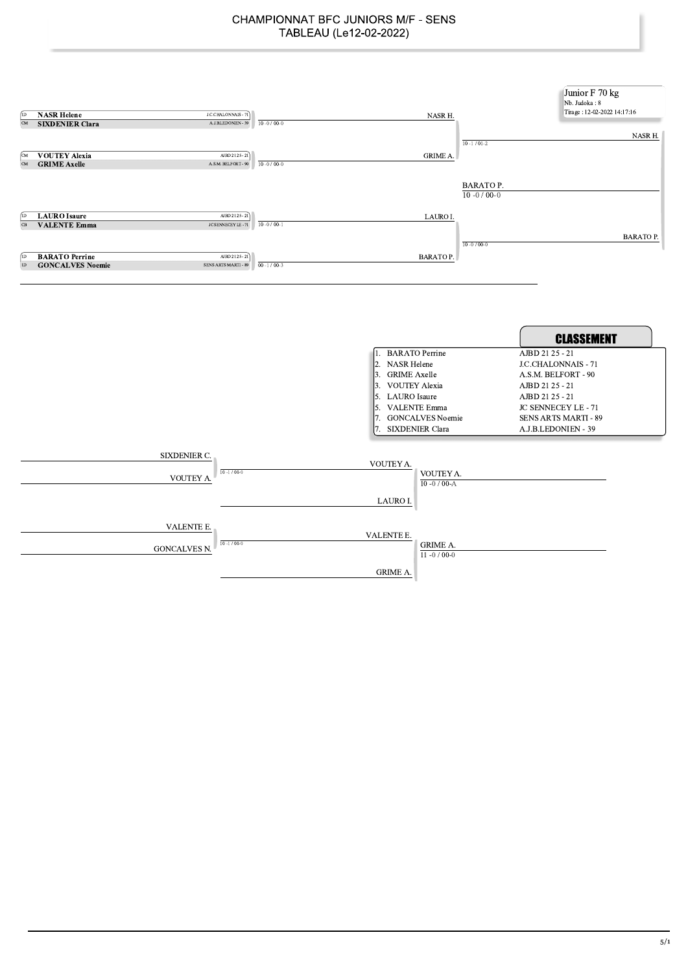| (ID<br>CM<br>ſсм              | <b>NASR Helene</b><br>J.C.CHALONNAIS - 71<br><b>SIXDENIER Clara</b><br>A.J.B.LEDONIEN - 39<br><b>VOUTEY Alexia</b><br>AJBD 21 25 - 21 | $10 - 0 / 00 - 0$ | NASR H.<br>$10 - 1 / 01 - 2$<br><b>GRIME A.</b>                                                                                                               | Junior F 70 kg<br>Nb. Judoka: 8<br>Tirage: 12-02-2022 14:17:16<br>NASR H.                                                                                                                             |
|-------------------------------|---------------------------------------------------------------------------------------------------------------------------------------|-------------------|---------------------------------------------------------------------------------------------------------------------------------------------------------------|-------------------------------------------------------------------------------------------------------------------------------------------------------------------------------------------------------|
| $\overline{\text{CM}}$        | A.S.M. BELFORT - 90<br><b>GRIME Axelle</b>                                                                                            | $10 - 0 / 00 - 0$ | <b>BARATOP.</b><br>$10 - 0 / 00 - 0$                                                                                                                          |                                                                                                                                                                                                       |
| (ID<br>$\overline{\text{CB}}$ | <b>LAURO</b> Isaure<br>AJBD 21 25 - 21<br>JC SENNECEY LE - 71<br><b>VALENTE Emma</b>                                                  | $10 - 0 / 00 - 1$ | LAURO I.<br>$10 - 0 / 00 - 0$                                                                                                                                 | <b>BARATOP.</b>                                                                                                                                                                                       |
| (ID<br>ID                     | <b>BARATO Perrine</b><br>AJBD 21 25 - 21<br><b>GONCALVES Noemie</b><br><b>SENS ARTS MARTI - 89</b>                                    | $00 - 1 / 00 - 3$ | <b>BARATOP.</b>                                                                                                                                               |                                                                                                                                                                                                       |
|                               |                                                                                                                                       |                   | 1. BARATO Perrine<br>2. NASR Helene<br>3. GRIME Axelle<br>3. VOUTEY Alexia<br>5. LAURO Isaure<br>5. VALENTE Emma<br>7. GONCALVES Noemie<br>7. SIXDENIER Clara | <b>CLASSEMENT</b><br>AJBD 21 25 - 21<br>J.C.CHALONNAIS - 71<br>A.S.M. BELFORT - 90<br>AJBD 21 25 - 21<br>AJBD 21 25 - 21<br>JC SENNECEY LE - 71<br><b>SENS ARTS MARTI - 89</b><br>A.J.B.LEDONIEN - 39 |
|                               | SIXDENIER C.<br>$10 - 1 / 00 - 0$<br>VOUTEY A                                                                                         |                   | VOUTEY A.<br>VOUTEY A.<br>$10 - 0 / 00 - A$<br>LAURO I.                                                                                                       |                                                                                                                                                                                                       |
|                               | VALENTE E.<br>$10 - 1 / 00 - 0$<br>GONCALVES N.                                                                                       |                   | VALENTE E.<br><b>GRIME A.</b><br>11 $-0/00-0$<br><b>GRIME A.</b>                                                                                              |                                                                                                                                                                                                       |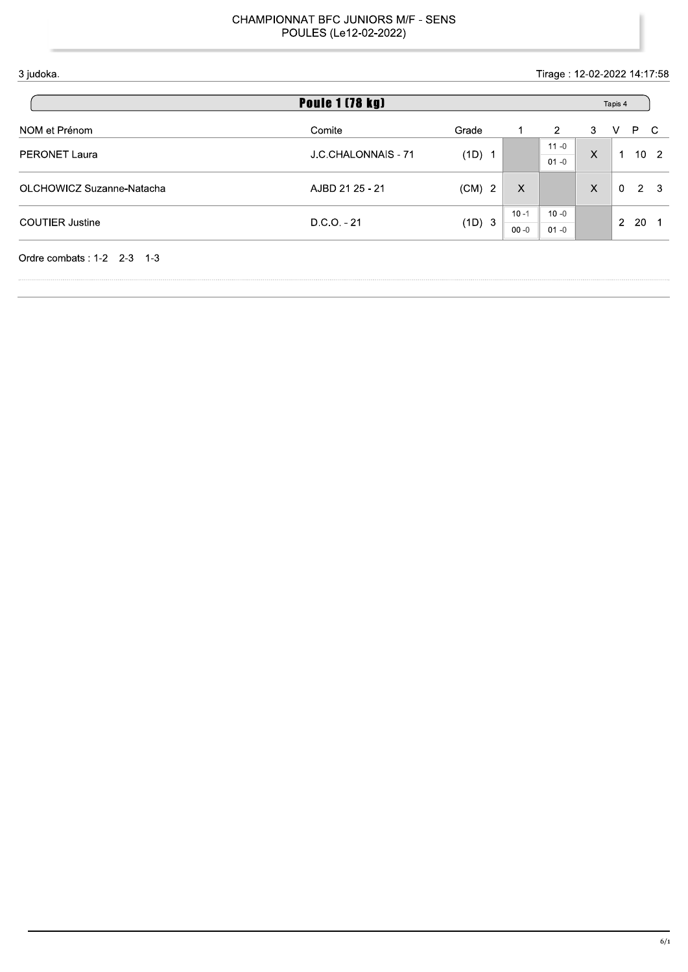Tirage: 12-02-2022 14:17:58

| <b>Poule 1 (78 kg)</b>    |                     |                      |          |                |   |              | Tapis 4        |                 |
|---------------------------|---------------------|----------------------|----------|----------------|---|--------------|----------------|-----------------|
| NOM et Prénom             | Comite              | Grade                |          | $\overline{2}$ | 3 | v            | P C            |                 |
| <b>PERONET Laura</b>      | J.C.CHALONNAIS - 71 | (1D)<br>- 1          |          | $11 - 0$       | X | 1            |                | 10 <sub>2</sub> |
|                           |                     |                      |          | $01 - 0$       |   |              |                |                 |
| OLCHOWICZ Suzanne-Natacha | AJBD 21 25 - 21     | $(CM)$ 2             | X        |                | X | $\mathbf{0}$ | $\overline{2}$ | - 3             |
|                           |                     |                      |          |                |   |              |                |                 |
| <b>COUTIER Justine</b>    | $D.C.O. - 21$       | (1D)<br>$\mathbf{3}$ | $10 - 1$ | $10 - 0$       |   | 2            | 20             | - 1             |
|                           |                     |                      | $00 - 0$ | $01 - 0$       |   |              |                |                 |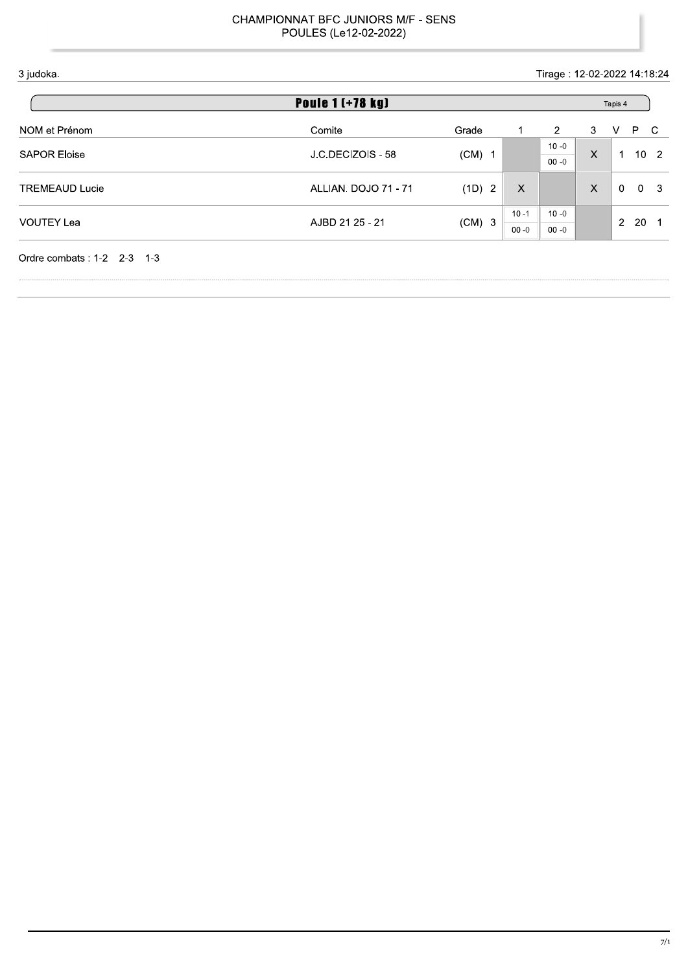Tirage: 12-02-2022 14:18:24

| <b>Poule 1 (+78 kg)</b> |                      |                        |          |          |   |   | Tapis 4         |             |     |
|-------------------------|----------------------|------------------------|----------|----------|---|---|-----------------|-------------|-----|
| NOM et Prénom           | Comite               | Grade                  |          | 2        | 3 | V | P.              | - C         |     |
| <b>SAPOR Eloise</b>     | J.C.DECIZOIS - 58    |                        |          | $10 - 0$ | X | 1 | 10 <sub>2</sub> |             |     |
|                         |                      | $(CM)$ 1               |          | $00 - 0$ |   |   |                 |             |     |
| <b>TREMEAUD Lucie</b>   | ALLIAN. DOJO 71 - 71 | (1D)<br>$\overline{2}$ |          | X        |   | X | $\Omega$        | $\mathbf 0$ | - 3 |
|                         |                      |                        |          |          |   |   |                 |             |     |
| <b>VOUTEY Lea</b>       | AJBD 21 25 - 21      |                        | $10 - 1$ | $10 - 0$ |   | 2 | -20             | - 1         |     |
|                         |                      | $(CM)$ 3               | $00 - 0$ | $00 - 0$ |   |   |                 |             |     |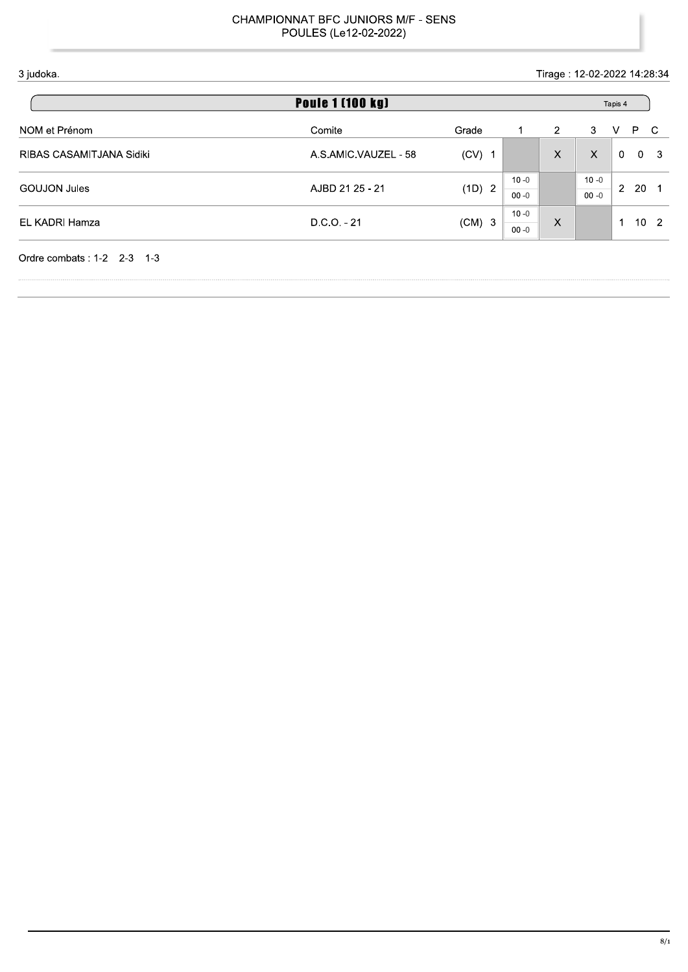Tirage: 12-02-2022 14:28:34

| <b>Poule 1 [100 kg]</b> |          |                    |          |          |          |          |                                                    |
|-------------------------|----------|--------------------|----------|----------|----------|----------|----------------------------------------------------|
| Comite                  | Grade    |                    | 2        | 3        | V        | P.       | -C                                                 |
| A.S.AMIC.VAUZEL - 58    | $(CV)$ 1 |                    | $\times$ | X        | $\Omega$ | $\Omega$ | $\mathbf{3}$                                       |
| AJBD 21 25 - 21         |          | $10 - 0$           |          | $10 - 0$ |          |          |                                                    |
|                         |          | $00 - 0$           |          | $00 - 0$ |          |          |                                                    |
| $D.C.O. - 21$           | $10 - 0$ |                    |          |          |          |          |                                                    |
|                         |          | $00 - 0$           |          |          |          |          |                                                    |
|                         |          | (1D) 2<br>$(CM)$ 3 |          | X        |          | -1       | Tapis 4<br>20 <sub>1</sub><br>2<br>10 <sub>2</sub> |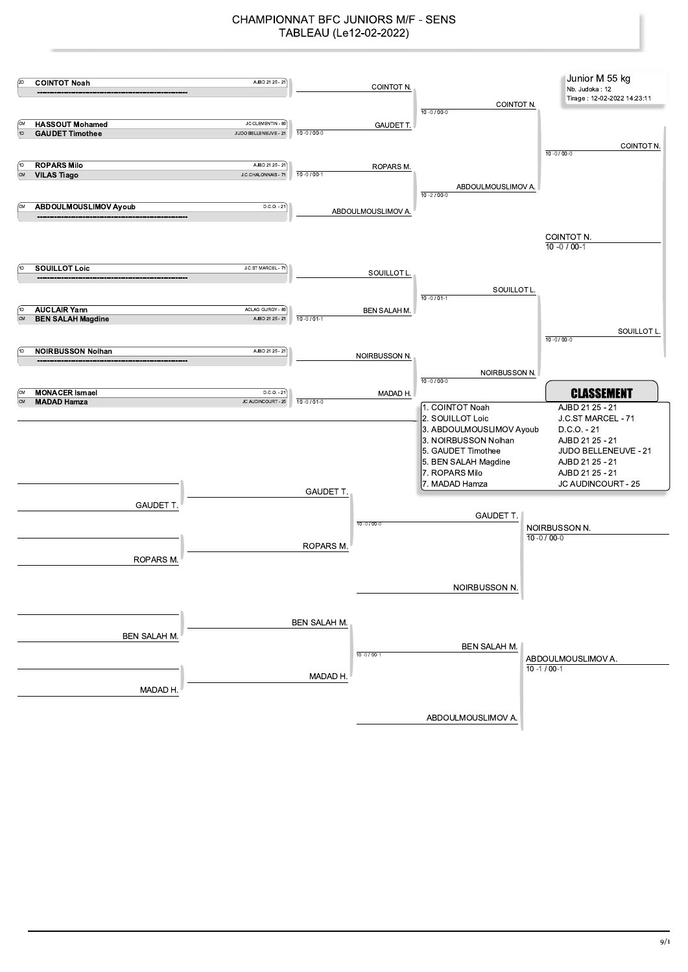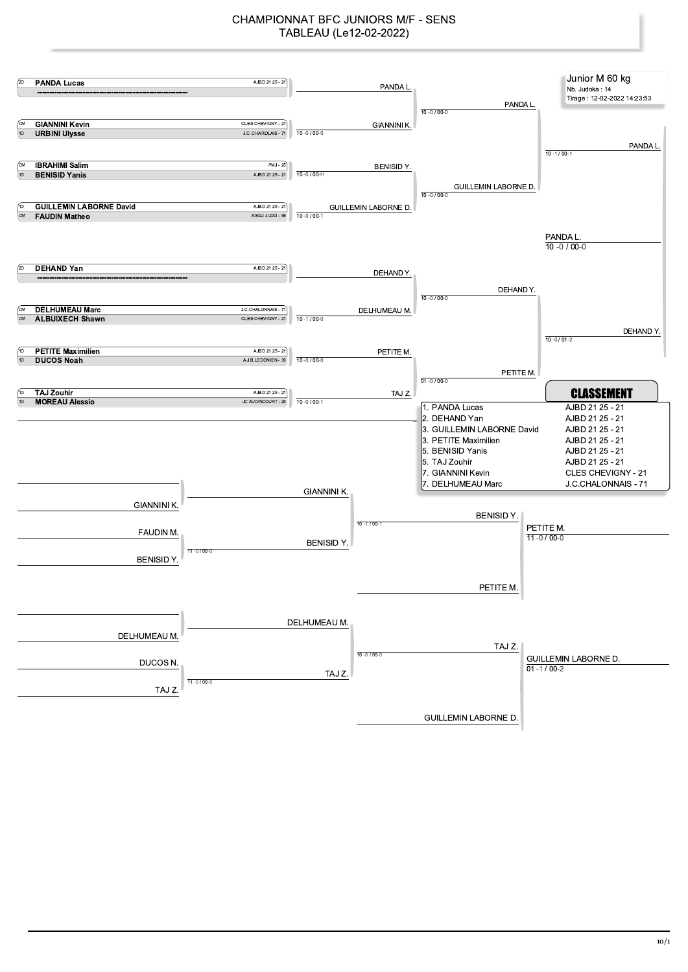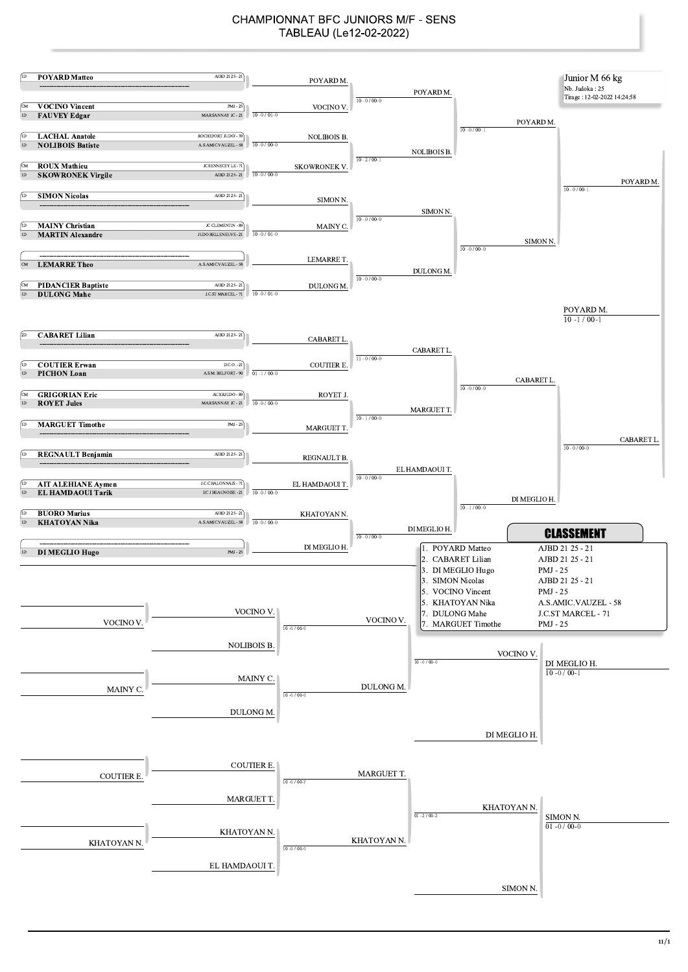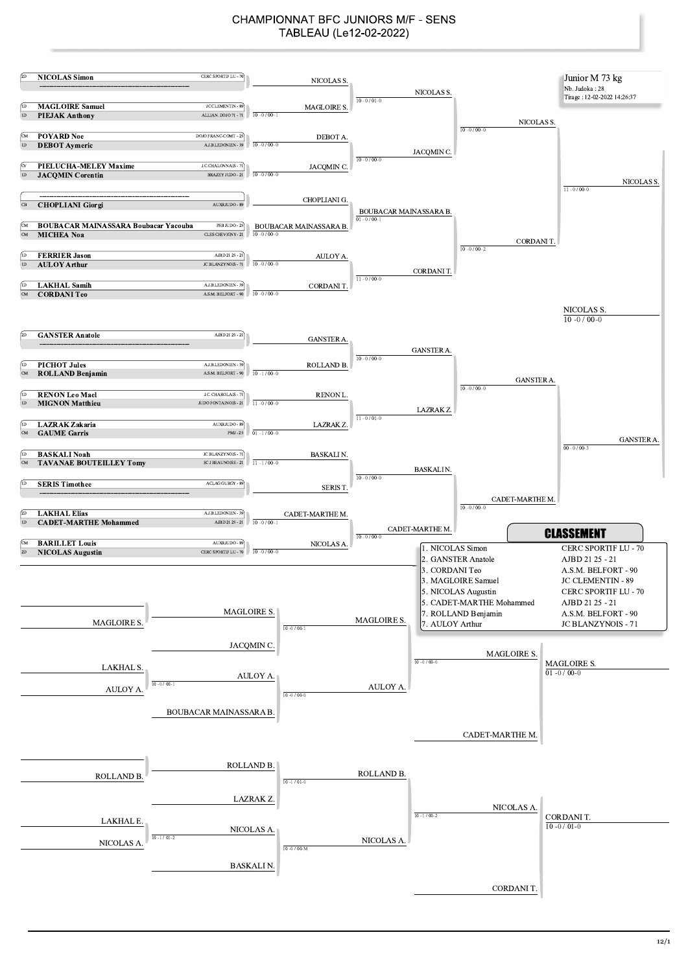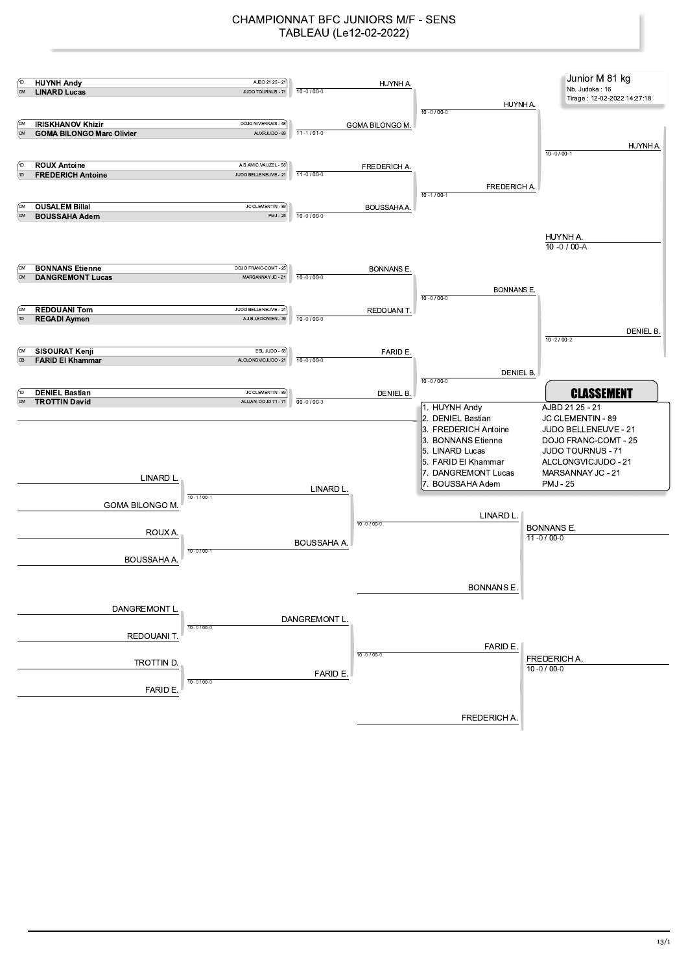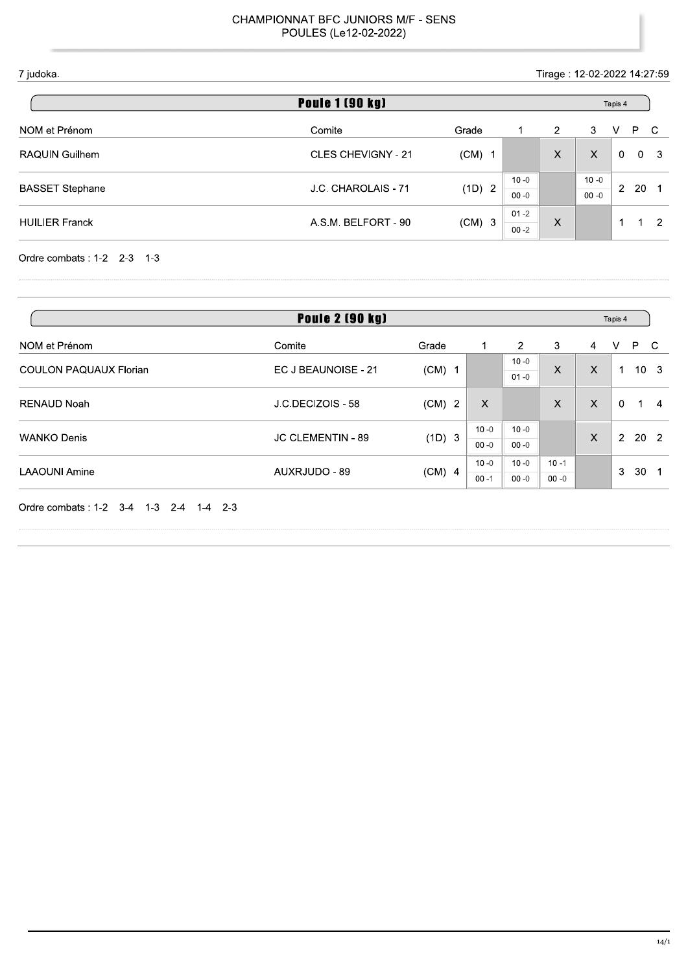Tirage: 12-02-2022 14:27:59

| <b>Poule 1 (90 kg)</b> |                               |          |          |                      |          |                | Tapis 4 |                |  |  |  |  |
|------------------------|-------------------------------|----------|----------|----------------------|----------|----------------|---------|----------------|--|--|--|--|
| NOM et Prénom          | Comite                        | Grade    |          | $\mathbf{2}^{\circ}$ | 3        | v              | P.      | C.             |  |  |  |  |
| RAQUIN Guilhem         | <b>CLES CHEVIGNY - 21</b>     | $(CM)$ 1 |          | $\times$             | X        | 0              | 0       | - 3            |  |  |  |  |
|                        | J.C. CHAROLAIS - 71<br>(1D) 2 |          |          | $10 - 0$             |          | $10 - 0$       |         |                |  |  |  |  |
| <b>BASSET Stephane</b> |                               |          | $00 - 0$ |                      | $00 - 0$ | $\overline{2}$ | 20      | - 1            |  |  |  |  |
| <b>HUILIER Franck</b>  |                               |          | $01 - 2$ | X                    |          |                | и       | $\overline{2}$ |  |  |  |  |
|                        | A.S.M. BELFORT - 90           | $(CM)$ 3 | $00 - 2$ |                      |          |                |         |                |  |  |  |  |

Ordre combats: 1-2 2-3 1-3

| <b>Poule 2 (90 kg)</b>        |                     |                                    |          |                      |          |                |          | Tapis 4         |                 |
|-------------------------------|---------------------|------------------------------------|----------|----------------------|----------|----------------|----------|-----------------|-----------------|
| NOM et Prénom                 | Comite              | Grade                              |          | $\overline{2}$       | 3        | $\overline{4}$ | V        | P.              | C.              |
| <b>COULON PAQUAUX Florian</b> | EC J BEAUNOISE - 21 | $(CM)$ 1                           |          | $10 - 0$<br>$01 - 0$ | X        | X              | 1        |                 | 10 <sub>3</sub> |
| <b>RENAUD Noah</b>            | J.C.DECIZOIS - 58   | $(CM)$ 2                           | X        |                      | X        | $\sf X$        | $\Omega$ |                 | $\overline{4}$  |
|                               |                     | (1D) 3<br><b>JC CLEMENTIN - 89</b> | $10 - 0$ | $10 - 0$             |          |                | 2        |                 |                 |
| <b>WANKO Denis</b>            |                     |                                    | $00 - 0$ | $00 - 0$             |          | $\times$       |          |                 | 20 2            |
|                               |                     |                                    | $10 - 0$ | $10 - 0$             | $10 - 1$ |                | 3        | 30 <sub>1</sub> |                 |
| <b>LAAOUNI Amine</b>          | AUXRJUDO - 89       | $(CM)$ 4                           | $00 - 1$ | $00 - 0$             | $00 - 0$ |                |          |                 |                 |